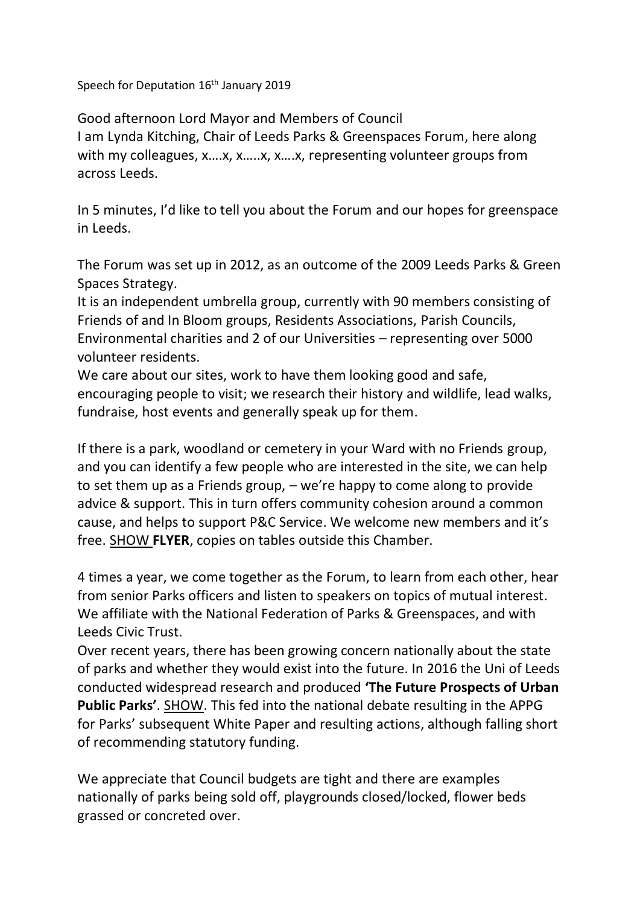Speech for Deputation 16<sup>th</sup> January 2019

Good afternoon Lord Mayor and Members of Council I am Lynda Kitching, Chair of Leeds Parks & Greenspaces Forum, here along with my colleagues, x….x, x…..x, x….x, representing volunteer groups from across Leeds.

In 5 minutes, I'd like to tell you about the Forum and our hopes for greenspace in Leeds.

The Forum was set up in 2012, as an outcome of the 2009 Leeds Parks & Green Spaces Strategy.

It is an independent umbrella group, currently with 90 members consisting of Friends of and In Bloom groups, Residents Associations, Parish Councils, Environmental charities and 2 of our Universities – representing over 5000 volunteer residents.

We care about our sites, work to have them looking good and safe, encouraging people to visit; we research their history and wildlife, lead walks, fundraise, host events and generally speak up for them.

If there is a park, woodland or cemetery in your Ward with no Friends group, and you can identify a few people who are interested in the site, we can help to set them up as a Friends group, – we're happy to come along to provide advice & support. This in turn offers community cohesion around a common cause, and helps to support P&C Service. We welcome new members and it's free. SHOW **FLYER**, copies on tables outside this Chamber.

4 times a year, we come together as the Forum, to learn from each other, hear from senior Parks officers and listen to speakers on topics of mutual interest. We affiliate with the National Federation of Parks & Greenspaces, and with Leeds Civic Trust.

Over recent years, there has been growing concern nationally about the state of parks and whether they would exist into the future. In 2016 the Uni of Leeds conducted widespread research and produced **'The Future Prospects of Urban Public Parks'**. SHOW. This fed into the national debate resulting in the APPG for Parks' subsequent White Paper and resulting actions, although falling short of recommending statutory funding.

We appreciate that Council budgets are tight and there are examples nationally of parks being sold off, playgrounds closed/locked, flower beds grassed or concreted over.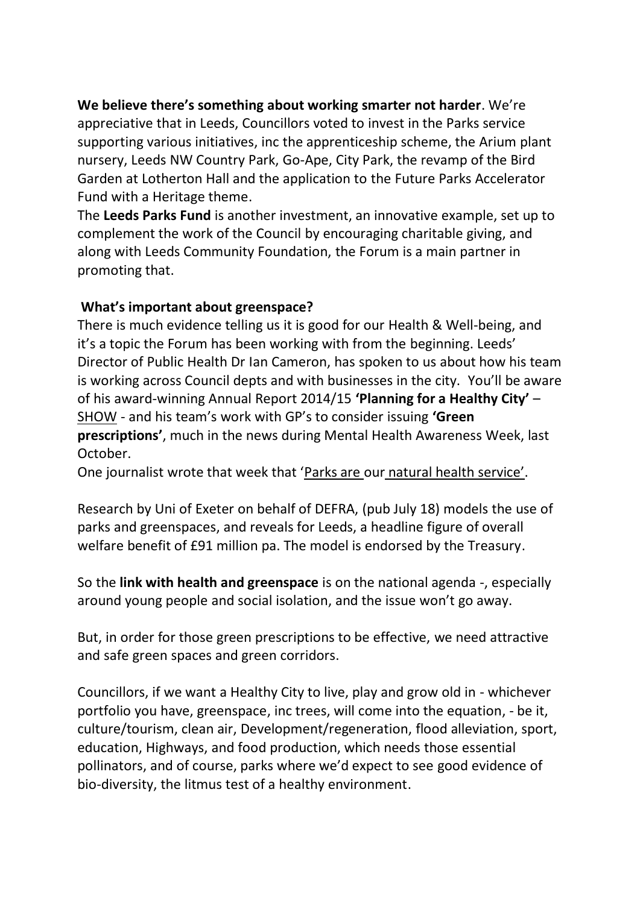**We believe there's something about working smarter not harder**. We're appreciative that in Leeds, Councillors voted to invest in the Parks service supporting various initiatives, inc the apprenticeship scheme, the Arium plant nursery, Leeds NW Country Park, Go-Ape, City Park, the revamp of the Bird Garden at Lotherton Hall and the application to the Future Parks Accelerator Fund with a Heritage theme.

The **Leeds Parks Fund** is another investment, an innovative example, set up to complement the work of the Council by encouraging charitable giving, and along with Leeds Community Foundation, the Forum is a main partner in promoting that.

## **What's important about greenspace?**

There is much evidence telling us it is good for our Health & Well-being, and it's a topic the Forum has been working with from the beginning. Leeds' Director of Public Health Dr Ian Cameron, has spoken to us about how his team is working across Council depts and with businesses in the city. You'll be aware of his award-winning Annual Report 2014/15 **'Planning for a Healthy City'** – SHOW - and his team's work with GP's to consider issuing **'Green prescriptions'**, much in the news during Mental Health Awareness Week, last October.

One journalist wrote that week that 'Parks are our natural health service'.

Research by Uni of Exeter on behalf of DEFRA, (pub July 18) models the use of parks and greenspaces, and reveals for Leeds, a headline figure of overall welfare benefit of £91 million pa. The model is endorsed by the Treasury.

So the **link with health and greenspace** is on the national agenda -, especially around young people and social isolation, and the issue won't go away.

But, in order for those green prescriptions to be effective, we need attractive and safe green spaces and green corridors.

Councillors, if we want a Healthy City to live, play and grow old in - whichever portfolio you have, greenspace, inc trees, will come into the equation, - be it, culture/tourism, clean air, Development/regeneration, flood alleviation, sport, education, Highways, and food production, which needs those essential pollinators, and of course, parks where we'd expect to see good evidence of bio-diversity, the litmus test of a healthy environment.